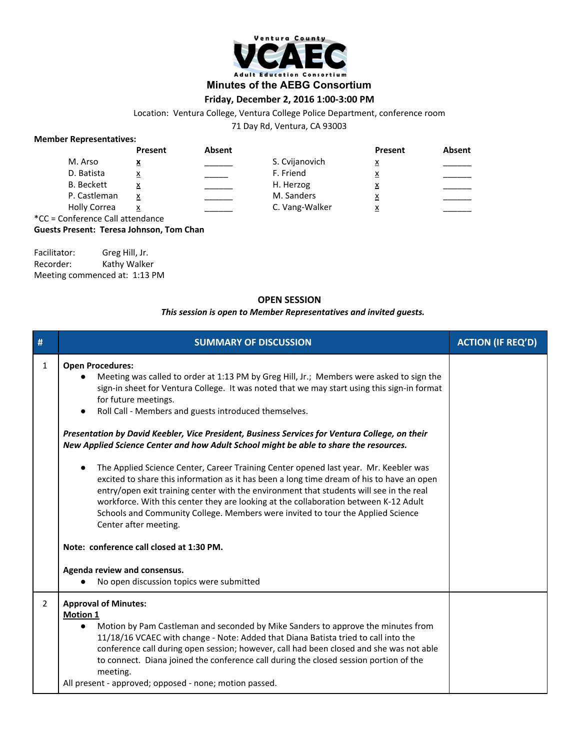

# **Minutes of the AEBG Consortium**

# **Friday, December 2, 2016 1:00-3:00 PM**

Location: Ventura College, Ventura College Police Department, conference room

71 Day Rd, Ventura, CA 93003

### **Member Representatives:**

|               |                                           | Present   | Absent |                | Present  | Absent |
|---------------|-------------------------------------------|-----------|--------|----------------|----------|--------|
|               | M. Arso                                   | ▵         |        | S. Cvijanovich | <u>x</u> |        |
|               | D. Batista                                | x         |        | F. Friend      | <u>x</u> |        |
|               | <b>B.</b> Beckett                         | $\lambda$ |        | H. Herzog      | <u>x</u> |        |
|               | P. Castleman                              | x         |        | M. Sanders     | <u>x</u> |        |
|               | <b>Holly Correa</b>                       | x         |        | C. Vang-Walker | <u>x</u> |        |
| $\sim$ $\sim$ | $\sim$ $\sim$ $\sim$ $\sim$ $\sim$ $\sim$ |           |        |                |          |        |

\*CC = Conference Call attendance

**Guests Present: Teresa Johnson, Tom Chan**

| Facilitator:                  | Greg Hill, Jr. |
|-------------------------------|----------------|
| Recorder:                     | Kathy Walker   |
| Meeting commenced at: 1:13 PM |                |

## **OPEN SESSION**

#### *This session is open to Member Representatives and invited guests.*

| #            | <b>SUMMARY OF DISCUSSION</b>                                                                                                                                                                                                                                                                                                                                                                                                                                                                                                                                                                                                                                                                                                                                                                                                                                                                                                                                                                                                                | <b>ACTION (IF REQ'D)</b> |
|--------------|---------------------------------------------------------------------------------------------------------------------------------------------------------------------------------------------------------------------------------------------------------------------------------------------------------------------------------------------------------------------------------------------------------------------------------------------------------------------------------------------------------------------------------------------------------------------------------------------------------------------------------------------------------------------------------------------------------------------------------------------------------------------------------------------------------------------------------------------------------------------------------------------------------------------------------------------------------------------------------------------------------------------------------------------|--------------------------|
| $\mathbf{1}$ | <b>Open Procedures:</b><br>Meeting was called to order at 1:13 PM by Greg Hill, Jr.; Members were asked to sign the<br>sign-in sheet for Ventura College. It was noted that we may start using this sign-in format<br>for future meetings.<br>Roll Call - Members and guests introduced themselves.<br>$\bullet$<br>Presentation by David Keebler, Vice President, Business Services for Ventura College, on their<br>New Applied Science Center and how Adult School might be able to share the resources.<br>The Applied Science Center, Career Training Center opened last year. Mr. Keebler was<br>excited to share this information as it has been a long time dream of his to have an open<br>entry/open exit training center with the environment that students will see in the real<br>workforce. With this center they are looking at the collaboration between K-12 Adult<br>Schools and Community College. Members were invited to tour the Applied Science<br>Center after meeting.<br>Note: conference call closed at 1:30 PM. |                          |
|              | Agenda review and consensus.<br>No open discussion topics were submitted                                                                                                                                                                                                                                                                                                                                                                                                                                                                                                                                                                                                                                                                                                                                                                                                                                                                                                                                                                    |                          |
| 2            | <b>Approval of Minutes:</b><br><b>Motion 1</b><br>Motion by Pam Castleman and seconded by Mike Sanders to approve the minutes from<br>$\bullet$<br>11/18/16 VCAEC with change - Note: Added that Diana Batista tried to call into the<br>conference call during open session; however, call had been closed and she was not able<br>to connect. Diana joined the conference call during the closed session portion of the<br>meeting.<br>All present - approved; opposed - none; motion passed.                                                                                                                                                                                                                                                                                                                                                                                                                                                                                                                                             |                          |